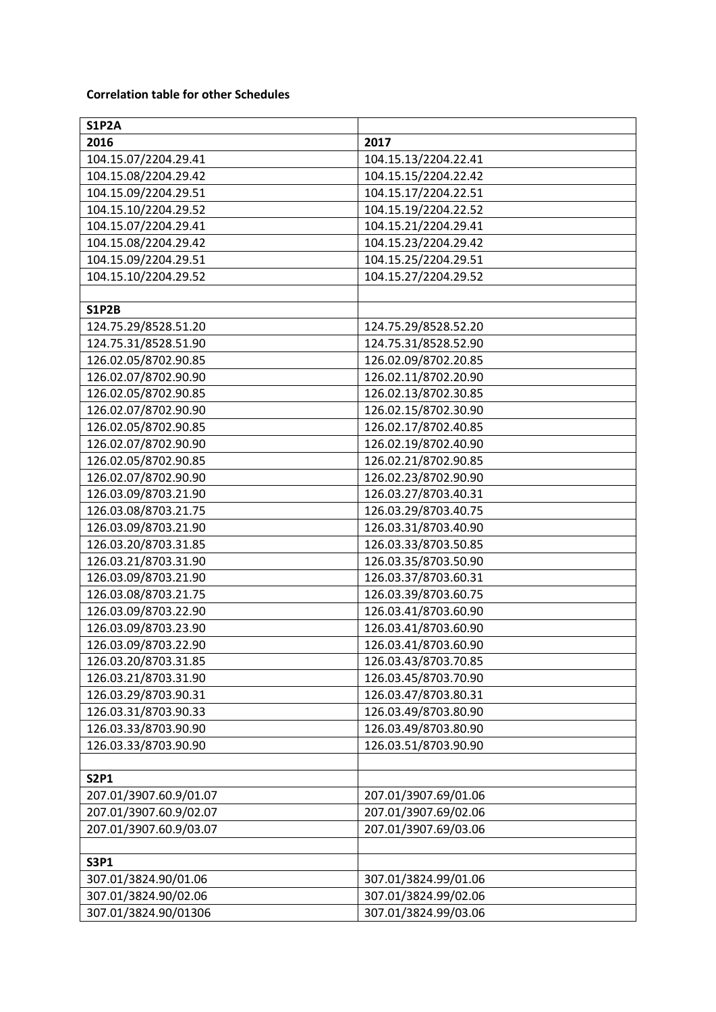## **Correlation table for other Schedules**

| <b>S1P2A</b>           |                      |
|------------------------|----------------------|
| 2016                   | 2017                 |
| 104.15.07/2204.29.41   | 104.15.13/2204.22.41 |
| 104.15.08/2204.29.42   | 104.15.15/2204.22.42 |
| 104.15.09/2204.29.51   | 104.15.17/2204.22.51 |
| 104.15.10/2204.29.52   | 104.15.19/2204.22.52 |
| 104.15.07/2204.29.41   | 104.15.21/2204.29.41 |
| 104.15.08/2204.29.42   | 104.15.23/2204.29.42 |
| 104.15.09/2204.29.51   | 104.15.25/2204.29.51 |
| 104.15.10/2204.29.52   | 104.15.27/2204.29.52 |
|                        |                      |
| <b>S1P2B</b>           |                      |
| 124.75.29/8528.51.20   | 124.75.29/8528.52.20 |
| 124.75.31/8528.51.90   | 124.75.31/8528.52.90 |
| 126.02.05/8702.90.85   | 126.02.09/8702.20.85 |
| 126.02.07/8702.90.90   | 126.02.11/8702.20.90 |
| 126.02.05/8702.90.85   | 126.02.13/8702.30.85 |
| 126.02.07/8702.90.90   | 126.02.15/8702.30.90 |
| 126.02.05/8702.90.85   | 126.02.17/8702.40.85 |
| 126.02.07/8702.90.90   | 126.02.19/8702.40.90 |
| 126.02.05/8702.90.85   | 126.02.21/8702.90.85 |
| 126.02.07/8702.90.90   | 126.02.23/8702.90.90 |
| 126.03.09/8703.21.90   | 126.03.27/8703.40.31 |
| 126.03.08/8703.21.75   | 126.03.29/8703.40.75 |
| 126.03.09/8703.21.90   | 126.03.31/8703.40.90 |
| 126.03.20/8703.31.85   | 126.03.33/8703.50.85 |
| 126.03.21/8703.31.90   | 126.03.35/8703.50.90 |
| 126.03.09/8703.21.90   | 126.03.37/8703.60.31 |
| 126.03.08/8703.21.75   | 126.03.39/8703.60.75 |
| 126.03.09/8703.22.90   | 126.03.41/8703.60.90 |
| 126.03.09/8703.23.90   | 126.03.41/8703.60.90 |
| 126.03.09/8703.22.90   | 126.03.41/8703.60.90 |
| 126.03.20/8703.31.85   | 126.03.43/8703.70.85 |
| 126.03.21/8703.31.90   | 126.03.45/8703.70.90 |
| 126.03.29/8703.90.31   | 126.03.47/8703.80.31 |
| 126.03.31/8703.90.33   | 126.03.49/8703.80.90 |
| 126.03.33/8703.90.90   | 126.03.49/8703.80.90 |
| 126.03.33/8703.90.90   | 126.03.51/8703.90.90 |
|                        |                      |
| <b>S2P1</b>            |                      |
| 207.01/3907.60.9/01.07 | 207.01/3907.69/01.06 |
| 207.01/3907.60.9/02.07 | 207.01/3907.69/02.06 |
| 207.01/3907.60.9/03.07 | 207.01/3907.69/03.06 |
|                        |                      |
| <b>S3P1</b>            |                      |
| 307.01/3824.90/01.06   | 307.01/3824.99/01.06 |
| 307.01/3824.90/02.06   | 307.01/3824.99/02.06 |
| 307.01/3824.90/01306   | 307.01/3824.99/03.06 |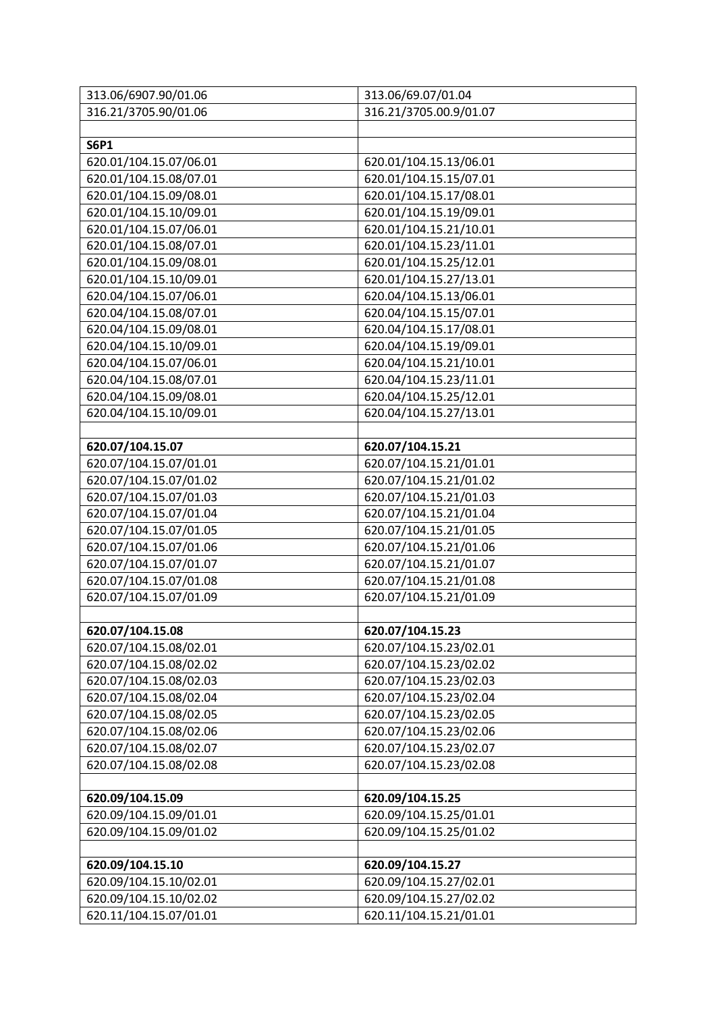| 313.06/6907.90/01.06   | 313.06/69.07/01.04     |
|------------------------|------------------------|
| 316.21/3705.90/01.06   | 316.21/3705.00.9/01.07 |
|                        |                        |
| <b>S6P1</b>            |                        |
| 620.01/104.15.07/06.01 | 620.01/104.15.13/06.01 |
| 620.01/104.15.08/07.01 | 620.01/104.15.15/07.01 |
| 620.01/104.15.09/08.01 | 620.01/104.15.17/08.01 |
| 620.01/104.15.10/09.01 | 620.01/104.15.19/09.01 |
| 620.01/104.15.07/06.01 | 620.01/104.15.21/10.01 |
| 620.01/104.15.08/07.01 | 620.01/104.15.23/11.01 |
| 620.01/104.15.09/08.01 | 620.01/104.15.25/12.01 |
| 620.01/104.15.10/09.01 | 620.01/104.15.27/13.01 |
| 620.04/104.15.07/06.01 | 620.04/104.15.13/06.01 |
| 620.04/104.15.08/07.01 | 620.04/104.15.15/07.01 |
| 620.04/104.15.09/08.01 | 620.04/104.15.17/08.01 |
| 620.04/104.15.10/09.01 | 620.04/104.15.19/09.01 |
| 620.04/104.15.07/06.01 | 620.04/104.15.21/10.01 |
| 620.04/104.15.08/07.01 | 620.04/104.15.23/11.01 |
| 620.04/104.15.09/08.01 | 620.04/104.15.25/12.01 |
| 620.04/104.15.10/09.01 | 620.04/104.15.27/13.01 |
|                        |                        |
| 620.07/104.15.07       | 620.07/104.15.21       |
| 620.07/104.15.07/01.01 | 620.07/104.15.21/01.01 |
| 620.07/104.15.07/01.02 | 620.07/104.15.21/01.02 |
| 620.07/104.15.07/01.03 | 620.07/104.15.21/01.03 |
| 620.07/104.15.07/01.04 | 620.07/104.15.21/01.04 |
| 620.07/104.15.07/01.05 | 620.07/104.15.21/01.05 |
| 620.07/104.15.07/01.06 | 620.07/104.15.21/01.06 |
| 620.07/104.15.07/01.07 | 620.07/104.15.21/01.07 |
| 620.07/104.15.07/01.08 | 620.07/104.15.21/01.08 |
| 620.07/104.15.07/01.09 | 620.07/104.15.21/01.09 |
|                        |                        |
| 620.07/104.15.08       | 620.07/104.15.23       |
| 620.07/104.15.08/02.01 | 620.07/104.15.23/02.01 |
| 620.07/104.15.08/02.02 | 620.07/104.15.23/02.02 |
| 620.07/104.15.08/02.03 | 620.07/104.15.23/02.03 |
| 620.07/104.15.08/02.04 | 620.07/104.15.23/02.04 |
| 620.07/104.15.08/02.05 | 620.07/104.15.23/02.05 |
| 620.07/104.15.08/02.06 | 620.07/104.15.23/02.06 |
| 620.07/104.15.08/02.07 | 620.07/104.15.23/02.07 |
| 620.07/104.15.08/02.08 | 620.07/104.15.23/02.08 |
|                        |                        |
| 620.09/104.15.09       | 620.09/104.15.25       |
| 620.09/104.15.09/01.01 | 620.09/104.15.25/01.01 |
| 620.09/104.15.09/01.02 | 620.09/104.15.25/01.02 |
|                        |                        |
| 620.09/104.15.10       | 620.09/104.15.27       |
| 620.09/104.15.10/02.01 | 620.09/104.15.27/02.01 |
| 620.09/104.15.10/02.02 | 620.09/104.15.27/02.02 |
| 620.11/104.15.07/01.01 | 620.11/104.15.21/01.01 |